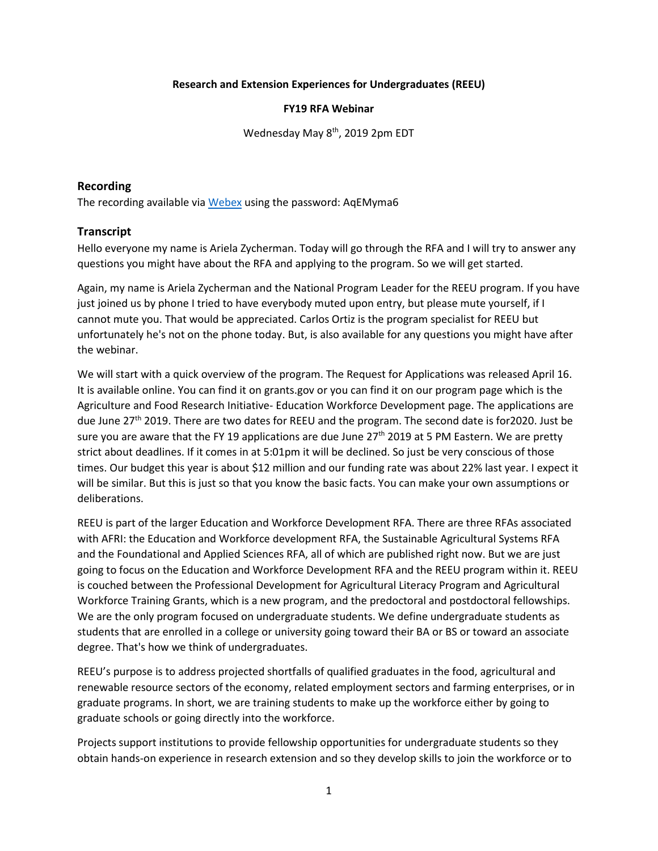#### **Research and Extension Experiences for Undergraduates (REEU)**

#### **FY19 RFA Webinar**

Wednesday May 8<sup>th</sup>, 2019 2pm EDT

## **Recording**

The recording available via [Webex](https://nifa-usda.webex.com/nifa-usda/ldr.php?RCID=23bc15e1a8166524049ddcc69f8d6ae2) using the password: AqEMyma6

## **Transcript**

Hello everyone my name is Ariela Zycherman. Today will go through the RFA and I will try to answer any questions you might have about the RFA and applying to the program. So we will get started.

Again, my name is Ariela Zycherman and the National Program Leader for the REEU program. If you have just joined us by phone I tried to have everybody muted upon entry, but please mute yourself, if I cannot mute you. That would be appreciated. Carlos Ortiz is the program specialist for REEU but unfortunately he's not on the phone today. But, is also available for any questions you might have after the webinar.

We will start with a quick overview of the program. The Request for Applications was released April 16. It is available online. You can find it on grants.gov or you can find it on our program page which is the Agriculture and Food Research Initiative- Education Workforce Development page. The applications are due June 27<sup>th</sup> 2019. There are two dates for REEU and the program. The second date is for 2020. Just be sure you are aware that the FY 19 applications are due June 27<sup>th</sup> 2019 at 5 PM Eastern. We are pretty strict about deadlines. If it comes in at 5:01pm it will be declined. So just be very conscious of those times. Our budget this year is about \$12 million and our funding rate was about 22% last year. I expect it will be similar. But this is just so that you know the basic facts. You can make your own assumptions or deliberations.

REEU is part of the larger Education and Workforce Development RFA. There are three RFAs associated with AFRI: the Education and Workforce development RFA, the Sustainable Agricultural Systems RFA and the Foundational and Applied Sciences RFA, all of which are published right now. But we are just going to focus on the Education and Workforce Development RFA and the REEU program within it. REEU is couched between the Professional Development for Agricultural Literacy Program and Agricultural Workforce Training Grants, which is a new program, and the predoctoral and postdoctoral fellowships. We are the only program focused on undergraduate students. We define undergraduate students as students that are enrolled in a college or university going toward their BA or BS or toward an associate degree. That's how we think of undergraduates.

REEU's purpose is to address projected shortfalls of qualified graduates in the food, agricultural and renewable resource sectors of the economy, related employment sectors and farming enterprises, or in graduate programs. In short, we are training students to make up the workforce either by going to graduate schools or going directly into the workforce.

Projects support institutions to provide fellowship opportunities for undergraduate students so they obtain hands-on experience in research extension and so they develop skills to join the workforce or to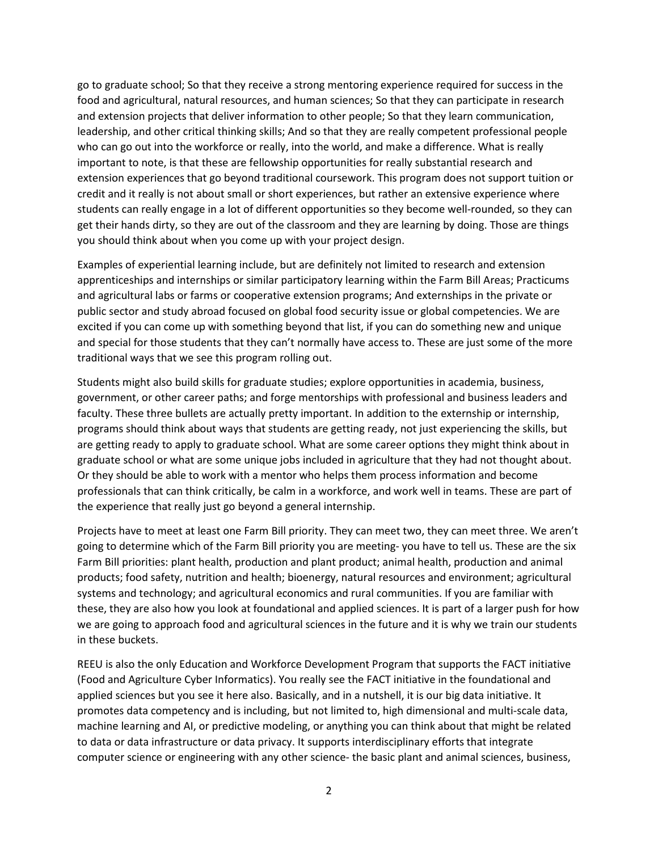go to graduate school; So that they receive a strong mentoring experience required for success in the food and agricultural, natural resources, and human sciences; So that they can participate in research and extension projects that deliver information to other people; So that they learn communication, leadership, and other critical thinking skills; And so that they are really competent professional people who can go out into the workforce or really, into the world, and make a difference. What is really important to note, is that these are fellowship opportunities for really substantial research and extension experiences that go beyond traditional coursework. This program does not support tuition or credit and it really is not about small or short experiences, but rather an extensive experience where students can really engage in a lot of different opportunities so they become well-rounded, so they can get their hands dirty, so they are out of the classroom and they are learning by doing. Those are things you should think about when you come up with your project design.

Examples of experiential learning include, but are definitely not limited to research and extension apprenticeships and internships or similar participatory learning within the Farm Bill Areas; Practicums and agricultural labs or farms or cooperative extension programs; And externships in the private or public sector and study abroad focused on global food security issue or global competencies. We are excited if you can come up with something beyond that list, if you can do something new and unique and special for those students that they can't normally have access to. These are just some of the more traditional ways that we see this program rolling out.

Students might also build skills for graduate studies; explore opportunities in academia, business, government, or other career paths; and forge mentorships with professional and business leaders and faculty. These three bullets are actually pretty important. In addition to the externship or internship, programs should think about ways that students are getting ready, not just experiencing the skills, but are getting ready to apply to graduate school. What are some career options they might think about in graduate school or what are some unique jobs included in agriculture that they had not thought about. Or they should be able to work with a mentor who helps them process information and become professionals that can think critically, be calm in a workforce, and work well in teams. These are part of the experience that really just go beyond a general internship.

Projects have to meet at least one Farm Bill priority. They can meet two, they can meet three. We aren't going to determine which of the Farm Bill priority you are meeting- you have to tell us. These are the six Farm Bill priorities: plant health, production and plant product; animal health, production and animal products; food safety, nutrition and health; bioenergy, natural resources and environment; agricultural systems and technology; and agricultural economics and rural communities. If you are familiar with these, they are also how you look at foundational and applied sciences. It is part of a larger push for how we are going to approach food and agricultural sciences in the future and it is why we train our students in these buckets.

REEU is also the only Education and Workforce Development Program that supports the FACT initiative (Food and Agriculture Cyber Informatics). You really see the FACT initiative in the foundational and applied sciences but you see it here also. Basically, and in a nutshell, it is our big data initiative. It promotes data competency and is including, but not limited to, high dimensional and multi-scale data, machine learning and AI, or predictive modeling, or anything you can think about that might be related to data or data infrastructure or data privacy. It supports interdisciplinary efforts that integrate computer science or engineering with any other science- the basic plant and animal sciences, business,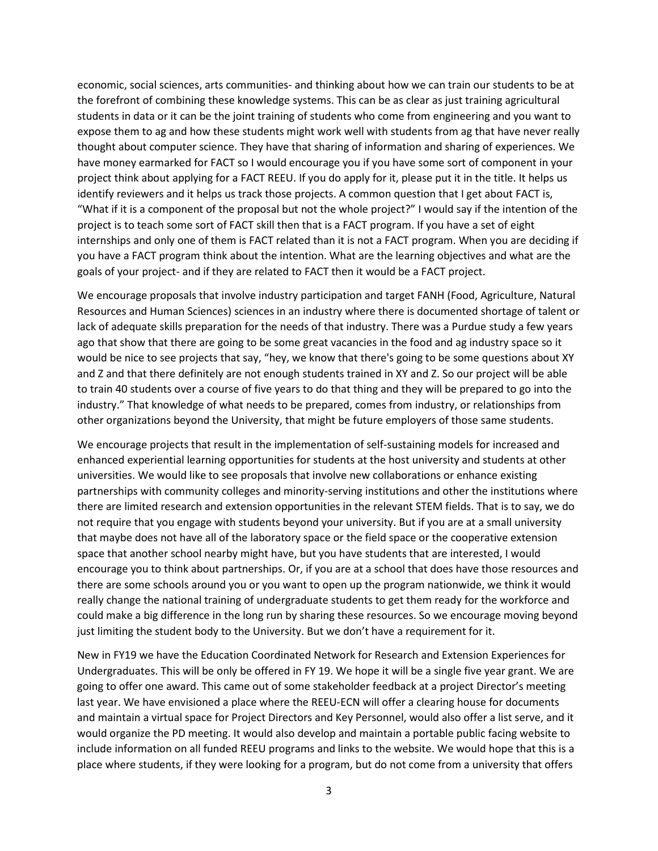economic, social sciences, arts communities- and thinking about how we can train our students to be at the forefront of combining these knowledge systems. This can be as clear as just training agricultural students in data or it can be the joint training of students who come from engineering and you want to expose them to ag and how these students might work well with students from ag that have never really thought about computer science. They have that sharing of information and sharing of experiences. We have money earmarked for FACT so I would encourage you if you have some sort of component in your project think about applying for a FACT REEU. If you do apply for it, please put it in the title. It helps us identify reviewers and it helps us track those projects. A common question that I get about FACT is, "What if it is a component of the proposal but not the whole project?" I would say if the intention of the project is to teach some sort of FACT skill then that is a FACT program. If you have a set of eight internships and only one of them is FACT related than it is not a FACT program. When you are deciding if you have a FACT program think about the intention. What are the learning objectives and what are the goals of your project- and if they are related to FACT then it would be a FACT project.

We encourage proposals that involve industry participation and target FANH (Food, Agriculture, Natural Resources and Human Sciences) sciences in an industry where there is documented shortage of talent or lack of adequate skills preparation for the needs of that industry. There was a Purdue study a few years ago that show that there are going to be some great vacancies in the food and ag industry space so it would be nice to see projects that say, "hey, we know that there's going to be some questions about XY and Z and that there definitely are not enough students trained in XY and Z. So our project will be able to train 40 students over a course of five years to do that thing and they will be prepared to go into the industry." That knowledge of what needs to be prepared, comes from industry, or relationships from other organizations beyond the University, that might be future employers of those same students.

We encourage projects that result in the implementation of self-sustaining models for increased and enhanced experiential learning opportunities for students at the host university and students at other universities. We would like to see proposals that involve new collaborations or enhance existing partnerships with community colleges and minority-serving institutions and other the institutions where there are limited research and extension opportunities in the relevant STEM fields. That is to say, we do not require that you engage with students beyond your university. But if you are at a small university that maybe does not have all of the laboratory space or the field space or the cooperative extension space that another school nearby might have, but you have students that are interested, I would encourage you to think about partnerships. Or, if you are at a school that does have those resources and there are some schools around you or you want to open up the program nationwide, we think it would really change the national training of undergraduate students to get them ready for the workforce and could make a big difference in the long run by sharing these resources. So we encourage moving beyond just limiting the student body to the University. But we don't have a requirement for it.

New in FY19 we have the Education Coordinated Network for Research and Extension Experiences for Undergraduates. This will be only be offered in FY 19. We hope it will be a single five year grant. We are going to offer one award. This came out of some stakeholder feedback at a project Director's meeting last year. We have envisioned a place where the REEU-ECN will offer a clearing house for documents and maintain a virtual space for Project Directors and Key Personnel, would also offer a list serve, and it would organize the PD meeting. It would also develop and maintain a portable public facing website to include information on all funded REEU programs and links to the website. We would hope that this is a place where students, if they were looking for a program, but do not come from a university that offers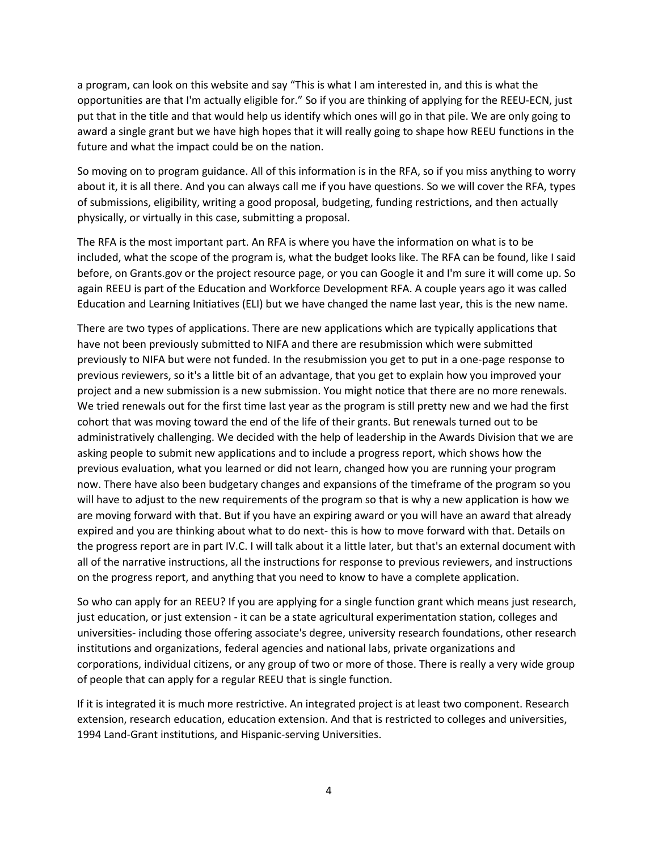a program, can look on this website and say "This is what I am interested in, and this is what the opportunities are that I'm actually eligible for." So if you are thinking of applying for the REEU-ECN, just put that in the title and that would help us identify which ones will go in that pile. We are only going to award a single grant but we have high hopes that it will really going to shape how REEU functions in the future and what the impact could be on the nation.

So moving on to program guidance. All of this information is in the RFA, so if you miss anything to worry about it, it is all there. And you can always call me if you have questions. So we will cover the RFA, types of submissions, eligibility, writing a good proposal, budgeting, funding restrictions, and then actually physically, or virtually in this case, submitting a proposal.

The RFA is the most important part. An RFA is where you have the information on what is to be included, what the scope of the program is, what the budget looks like. The RFA can be found, like I said before, on Grants.gov or the project resource page, or you can Google it and I'm sure it will come up. So again REEU is part of the Education and Workforce Development RFA. A couple years ago it was called Education and Learning Initiatives (ELI) but we have changed the name last year, this is the new name.

There are two types of applications. There are new applications which are typically applications that have not been previously submitted to NIFA and there are resubmission which were submitted previously to NIFA but were not funded. In the resubmission you get to put in a one-page response to previous reviewers, so it's a little bit of an advantage, that you get to explain how you improved your project and a new submission is a new submission. You might notice that there are no more renewals. We tried renewals out for the first time last year as the program is still pretty new and we had the first cohort that was moving toward the end of the life of their grants. But renewals turned out to be administratively challenging. We decided with the help of leadership in the Awards Division that we are asking people to submit new applications and to include a progress report, which shows how the previous evaluation, what you learned or did not learn, changed how you are running your program now. There have also been budgetary changes and expansions of the timeframe of the program so you will have to adjust to the new requirements of the program so that is why a new application is how we are moving forward with that. But if you have an expiring award or you will have an award that already expired and you are thinking about what to do next- this is how to move forward with that. Details on the progress report are in part IV.C. I will talk about it a little later, but that's an external document with all of the narrative instructions, all the instructions for response to previous reviewers, and instructions on the progress report, and anything that you need to know to have a complete application.

So who can apply for an REEU? If you are applying for a single function grant which means just research, just education, or just extension - it can be a state agricultural experimentation station, colleges and universities- including those offering associate's degree, university research foundations, other research institutions and organizations, federal agencies and national labs, private organizations and corporations, individual citizens, or any group of two or more of those. There is really a very wide group of people that can apply for a regular REEU that is single function.

If it is integrated it is much more restrictive. An integrated project is at least two component. Research extension, research education, education extension. And that is restricted to colleges and universities, 1994 Land-Grant institutions, and Hispanic-serving Universities.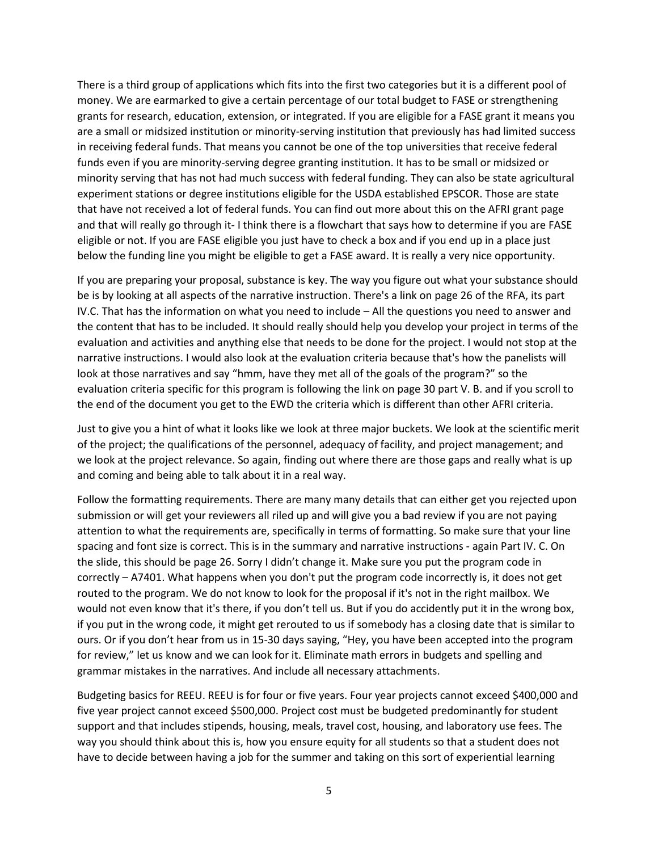There is a third group of applications which fits into the first two categories but it is a different pool of money. We are earmarked to give a certain percentage of our total budget to FASE or strengthening grants for research, education, extension, or integrated. If you are eligible for a FASE grant it means you are a small or midsized institution or minority-serving institution that previously has had limited success in receiving federal funds. That means you cannot be one of the top universities that receive federal funds even if you are minority-serving degree granting institution. It has to be small or midsized or minority serving that has not had much success with federal funding. They can also be state agricultural experiment stations or degree institutions eligible for the USDA established EPSCOR. Those are state that have not received a lot of federal funds. You can find out more about this on the AFRI grant page and that will really go through it- I think there is a flowchart that says how to determine if you are FASE eligible or not. If you are FASE eligible you just have to check a box and if you end up in a place just below the funding line you might be eligible to get a FASE award. It is really a very nice opportunity.

If you are preparing your proposal, substance is key. The way you figure out what your substance should be is by looking at all aspects of the narrative instruction. There's a link on page 26 of the RFA, its part IV.C. That has the information on what you need to include – All the questions you need to answer and the content that has to be included. It should really should help you develop your project in terms of the evaluation and activities and anything else that needs to be done for the project. I would not stop at the narrative instructions. I would also look at the evaluation criteria because that's how the panelists will look at those narratives and say "hmm, have they met all of the goals of the program?" so the evaluation criteria specific for this program is following the link on page 30 part V. B. and if you scroll to the end of the document you get to the EWD the criteria which is different than other AFRI criteria.

Just to give you a hint of what it looks like we look at three major buckets. We look at the scientific merit of the project; the qualifications of the personnel, adequacy of facility, and project management; and we look at the project relevance. So again, finding out where there are those gaps and really what is up and coming and being able to talk about it in a real way.

Follow the formatting requirements. There are many many details that can either get you rejected upon submission or will get your reviewers all riled up and will give you a bad review if you are not paying attention to what the requirements are, specifically in terms of formatting. So make sure that your line spacing and font size is correct. This is in the summary and narrative instructions - again Part IV. C. On the slide, this should be page 26. Sorry I didn't change it. Make sure you put the program code in correctly – A7401. What happens when you don't put the program code incorrectly is, it does not get routed to the program. We do not know to look for the proposal if it's not in the right mailbox. We would not even know that it's there, if you don't tell us. But if you do accidently put it in the wrong box, if you put in the wrong code, it might get rerouted to us if somebody has a closing date that is similar to ours. Or if you don't hear from us in 15-30 days saying, "Hey, you have been accepted into the program for review," let us know and we can look for it. Eliminate math errors in budgets and spelling and grammar mistakes in the narratives. And include all necessary attachments.

Budgeting basics for REEU. REEU is for four or five years. Four year projects cannot exceed \$400,000 and five year project cannot exceed \$500,000. Project cost must be budgeted predominantly for student support and that includes stipends, housing, meals, travel cost, housing, and laboratory use fees. The way you should think about this is, how you ensure equity for all students so that a student does not have to decide between having a job for the summer and taking on this sort of experiential learning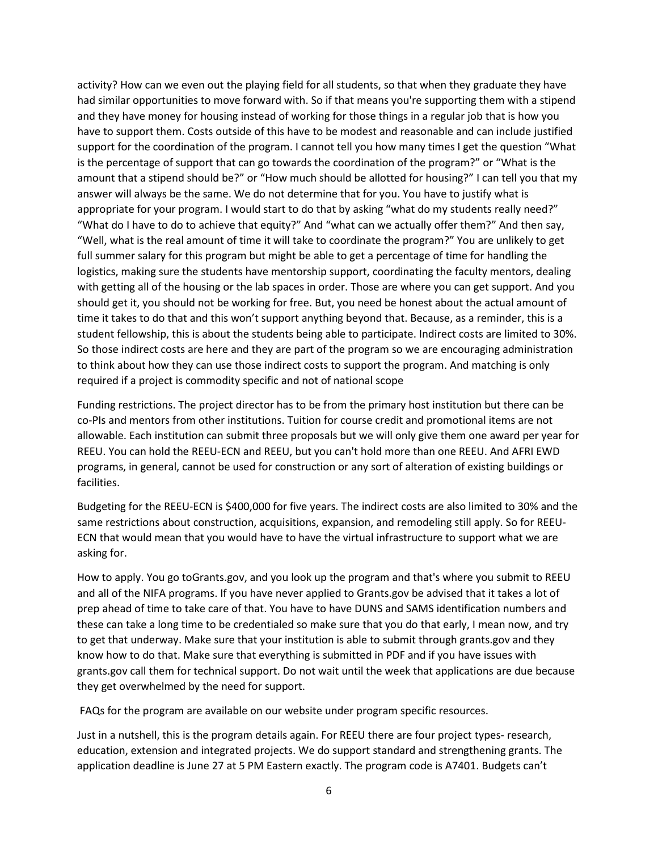activity? How can we even out the playing field for all students, so that when they graduate they have had similar opportunities to move forward with. So if that means you're supporting them with a stipend and they have money for housing instead of working for those things in a regular job that is how you have to support them. Costs outside of this have to be modest and reasonable and can include justified support for the coordination of the program. I cannot tell you how many times I get the question "What is the percentage of support that can go towards the coordination of the program?" or "What is the amount that a stipend should be?" or "How much should be allotted for housing?" I can tell you that my answer will always be the same. We do not determine that for you. You have to justify what is appropriate for your program. I would start to do that by asking "what do my students really need?" "What do I have to do to achieve that equity?" And "what can we actually offer them?" And then say, "Well, what is the real amount of time it will take to coordinate the program?" You are unlikely to get full summer salary for this program but might be able to get a percentage of time for handling the logistics, making sure the students have mentorship support, coordinating the faculty mentors, dealing with getting all of the housing or the lab spaces in order. Those are where you can get support. And you should get it, you should not be working for free. But, you need be honest about the actual amount of time it takes to do that and this won't support anything beyond that. Because, as a reminder, this is a student fellowship, this is about the students being able to participate. Indirect costs are limited to 30%. So those indirect costs are here and they are part of the program so we are encouraging administration to think about how they can use those indirect costs to support the program. And matching is only required if a project is commodity specific and not of national scope

Funding restrictions. The project director has to be from the primary host institution but there can be co-PIs and mentors from other institutions. Tuition for course credit and promotional items are not allowable. Each institution can submit three proposals but we will only give them one award per year for REEU. You can hold the REEU-ECN and REEU, but you can't hold more than one REEU. And AFRI EWD programs, in general, cannot be used for construction or any sort of alteration of existing buildings or facilities.

Budgeting for the REEU-ECN is \$400,000 for five years. The indirect costs are also limited to 30% and the same restrictions about construction, acquisitions, expansion, and remodeling still apply. So for REEU-ECN that would mean that you would have to have the virtual infrastructure to support what we are asking for.

How to apply. You go toGrants.gov, and you look up the program and that's where you submit to REEU and all of the NIFA programs. If you have never applied to Grants.gov be advised that it takes a lot of prep ahead of time to take care of that. You have to have DUNS and SAMS identification numbers and these can take a long time to be credentialed so make sure that you do that early, I mean now, and try to get that underway. Make sure that your institution is able to submit through grants.gov and they know how to do that. Make sure that everything is submitted in PDF and if you have issues with grants.gov call them for technical support. Do not wait until the week that applications are due because they get overwhelmed by the need for support.

FAQs for the program are available on our website under program specific resources.

Just in a nutshell, this is the program details again. For REEU there are four project types- research, education, extension and integrated projects. We do support standard and strengthening grants. The application deadline is June 27 at 5 PM Eastern exactly. The program code is A7401. Budgets can't